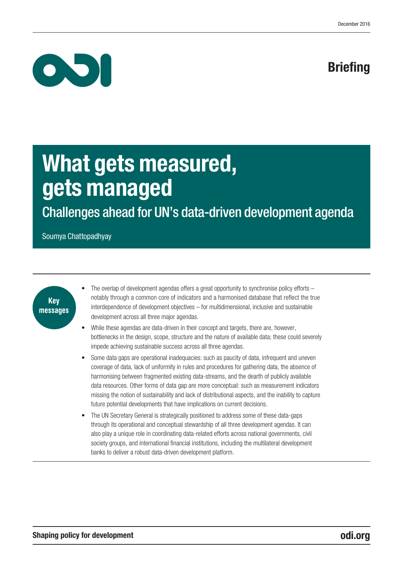# **Briefing**



# What gets measured, gets managed

Challenges ahead for UN's data-driven development agenda

Soumya Chattopadhyay



- The overlap of development agendas offers a great opportunity to synchronise policy efforts notably through a common core of indicators and a harmonised database that reflect the true interdependence of development objectives – for multidimensional, inclusive and sustainable development across all three major agendas.
- While these agendas are data-driven in their concept and targets, there are, however, bottlenecks in the design, scope, structure and the nature of available data; these could severely impede achieving sustainable success across all three agendas.
- Some data gaps are operational inadequacies: such as paucity of data, infrequent and uneven coverage of data, lack of uniformity in rules and procedures for gathering data, the absence of harmonising between fragmented existing data-streams, and the dearth of publicly available data resources. Other forms of data gap are more conceptual: such as measurement indicators missing the notion of sustainability and lack of distributional aspects, and the inability to capture future potential developments that have implications on current decisions.
- The UN Secretary General is strategically positioned to address some of these data-gaps through its operational and conceptual stewardship of all three development agendas. It can also play a unique role in coordinating data-related efforts across national governments, civil society groups, and international financial institutions, including the multilateral development banks to deliver a robust data-driven development platform.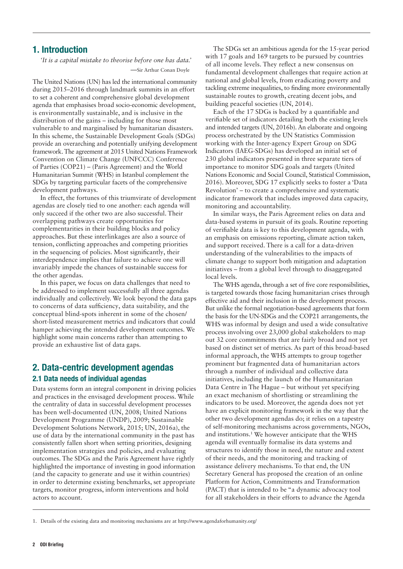## 1. Introduction

*'It is a capital mistake to theorise before one has data.' —*Sir Arthur Conan Doyle

The United Nations (UN) has led the international community during 2015–2016 through landmark summits in an effort to set a coherent and comprehensive global development agenda that emphasises broad socio-economic development, is environmentally sustainable, and is inclusive in the distribution of the gains – including for those most vulnerable to and marginalised by humanitarian disasters. In this scheme, the Sustainable Development Goals (SDGs) provide an overarching and potentially unifying development framework.The agreement at 2015 United Nations Framework Convention on Climate Change (UNFCCC) Conference of Parties (COP21) – (Paris Agreement) and the World Humanitarian Summit (WHS) in Istanbul complement the SDGs by targeting particular facets of the comprehensive development pathways.

In effect, the fortunes of this triumvirate of development agendas are closely tied to one another: each agenda will only succeed if the other two are also successful. Their overlapping pathways create opportunities for complementarities in their building blocks and policy approaches. But these interlinkages are also a source of tension, conflicting approaches and competing priorities in the sequencing of policies. Most significantly, their interdependence implies that failure to achieve one will invariably impede the chances of sustainable success for the other agendas.

In this paper, we focus on data challenges that need to be addressed to implement successfully all three agendas individually and collectively. We look beyond the data gaps to concerns of data sufficiency, data suitability, and the conceptual blind-spots inherent in some of the chosen/ short-listed measurement metrics and indicators that could hamper achieving the intended development outcomes. We highlight some main concerns rather than attempting to provide an exhaustive list of data gaps.

## 2. Data-centric development agendas 2.1 Data needs of individual agendas

Data systems form an integral component in driving policies and practices in the envisaged development process. While the centrality of data in successful development processes has been well-documented (UN, 2008; United Nations Development Programme (UNDP), 2009; Sustainable Development Solutions Network, 2015; UN, 2016a), the use of data by the international community in the past has consistently fallen short when setting priorities, designing implementation strategies and policies, and evaluating outcomes. The SDGs and the Paris Agreement have rightly highlighted the importance of investing in good information (and the capacity to generate and use it within countries) in order to determine existing benchmarks, set appropriate targets, monitor progress, inform interventions and hold actors to account.

The SDGs set an ambitious agenda for the 15-year period with 17 goals and 169 targets to be pursued by countries of all income levels. They reflect a new consensus on fundamental development challenges that require action at national and global levels, from eradicating poverty and tackling extreme inequalities, to finding more environmentally sustainable routes to growth, creating decent jobs, and building peaceful societies (UN, 2014).

Each of the 17 SDGs is backed by a quantifiable and verifiable set of indicators detailing both the existing levels and intended targets (UN, 2016b). An elaborate and ongoing process orchestrated by the UN Statistics Commission working with the Inter-agency Expert Group on SDG Indicators (IAEG-SDGs) has developed an initial set of 230 global indicators presented in three separate tiers of importance to monitor SDG goals and targets (United Nations Economic and Social Council, Statistical Commission, 2016). Moreover, SDG 17 explicitly seeks to foster a 'Data Revolution' – to create a comprehensive and systematic indicator framework that includes improved data capacity, monitoring and accountability.

In similar ways, the Paris Agreement relies on data and data-based systems in pursuit of its goals. Routine reporting of verifiable data is key to this development agenda, with an emphasis on emissions reporting, climate action taken, and support received. There is a call for a data-driven understanding of the vulnerabilities to the impacts of climate change to support both mitigation and adaptation initiatives – from a global level through to disaggregated local levels.

The WHS agenda, through a set of five core responsibilities, is targeted towards those facing humanitarian crises through effective aid and their inclusion in the development process. But unlike the formal negotiation-based agreements that form the basis for the UN-SDGs and the COP21 arrangements, the WHS was informal by design and used a wide consultative process involving over 23,000 global stakeholders to map out 32 core commitments that are fairly broad and not yet based on distinct set of metrics. As part of this broad-based informal approach, the WHS attempts to group together prominent but fragmented data of humanitarian actors through a number of individual and collective data initiatives, including the launch of the Humanitarian Data Centre in The Hague – but without yet specifying an exact mechanism of shortlisting or streamlining the indicators to be used. Moreover, the agenda does not yet have an explicit monitoring framework in the way that the other two development agendas do; it relies on a tapestry of self-monitoring mechanisms across governments, NGOs, and institutions.1 We however anticipate that the WHS agenda will eventually formalise its data systems and structures to identify those in need, the nature and extent of their needs, and the monitoring and tracking of assistance delivery mechanisms. To that end, the UN Secretary General has proposed the creation of an online Platform for Action, Commitments and Transformation (PACT) that is intended to be "a dynamic advocacy tool for all stakeholders in their efforts to advance the Agenda

1. Details of the existing data and monitoring mechanisms are at<http://www.agendaforhumanity.org/>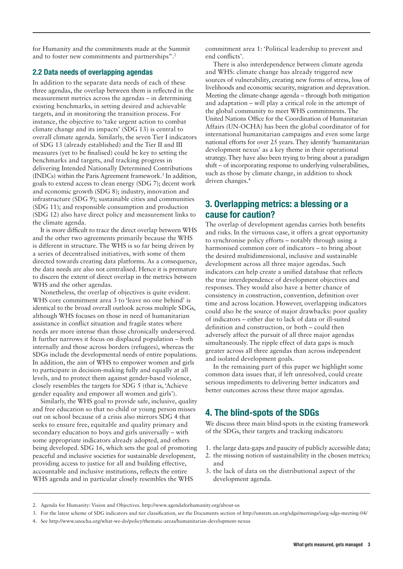for Humanity and the commitments made at the Summit and to foster new commitments and partnerships".2

#### 2.2 Data needs of overlapping agendas

In addition to the separate data needs of each of these three agendas, the overlap between them is reflected in the measurement metrics across the agendas – in determining existing benchmarks, in setting desired and achievable targets, and in monitoring the transition process. For instance, the objective to 'take urgent action to combat climate change and its impacts' (SDG 13) is central to overall climate agenda. Similarly, the seven Tier I indicators of SDG 13 (already established) and the Tier II and III measures (yet to be finalised) could be key to setting the benchmarks and targets, and tracking progress in delivering Intended Nationally Determined Contributions (INDCs) within the Paris Agreement framework.3 In addition, goals to extend access to clean energy (SDG 7); decent work and economic growth (SDG 8); industry, innovation and infrastructure (SDG 9); sustainable cities and communities (SDG 11); and responsible consumption and production (SDG 12) also have direct policy and measurement links to the climate agenda.

It is more difficult to trace the direct overlap between WHS and the other two agreements primarily because the WHS is different in structure. The WHS is so far being driven by a series of decentralised initiatives, with some of them directed towards creating data platforms. As a consequence, the data needs are also not centralised. Hence it is premature to discern the extent of direct overlap in the metrics between WHS and the other agendas.

Nonetheless, the overlap of objectives is quite evident. WHS core commitment area 3 to 'leave no one behind' is identical to the broad overall outlook across multiple SDGs, although WHS focuses on those in need of humanitarian assistance in conflict situation and fragile states where needs are more intense than those chronically underserved. It further narrows it focus on displaced population – both internally and those across borders (refugees), whereas the SDGs include the developmental needs of entire populations. In addition, the aim of WHS to empower women and girls to participate in decision-making fully and equally at all levels, and to protect them against gender-based violence, closely resembles the targets for SDG 5 (that is, 'Achieve gender equality and empower all women and girls').

Similarly, the WHS goal to provide safe, inclusive, quality and free education so that no child or young person misses out on school because of a crisis also mirrors SDG 4 that seeks to ensure free, equitable and quality primary and secondary education to boys and girls universally – with some appropriate indicators already adopted, and others being developed. SDG 16, which sets the goal of promoting peaceful and inclusive societies for sustainable development, providing access to justice for all and building effective, accountable and inclusive institutions, reflects the entire WHS agenda and in particular closely resembles the WHS

commitment area 1: 'Political leadership to prevent and end conflicts'.

There is also interdependence between climate agenda and WHS: climate change has already triggered new sources of vulnerability, creating new forms of stress, loss of livelihoods and economic security, migration and depravation. Meeting the climate-change agenda – through both mitigation and adaptation – will play a critical role in the attempt of the global community to meet WHS commitments. The United Nations Office for the Coordination of Humanitarian Affairs (UN-OCHA) has been the global coordinator of for international humanitarian campaigns and even some large national efforts for over 25 years.They identify 'humanitarian development nexus' as a key theme in their operational strategy.They have also been trying to bring about a paradigm shift – of incorporating response to underlying vulnerabilities, such as those by climate change, in addition to shock driven changes.<sup>4</sup>

# 3. Overlapping metrics: a blessing or a cause for caution?

The overlap of development agendas carries both benefits and risks. In the virtuous case, it offers a great opportunity to synchronise policy efforts – notably through using a harmonised common core of indicators – to bring about the desired multidimensional, inclusive and sustainable development across all three major agendas. Such indicators can help create a unified database that reflects the true interdependence of development objectives and responses. They would also have a better chance of consistency in construction, convention, definition over time and across location. However, overlapping indicators could also be the source of major drawbacks: poor quality of indicators – either due to lack of data or ill-suited definition and construction, or both – could then adversely affect the pursuit of all three major agendas simultaneously. The ripple effect of data gaps is much greater across all three agendas than across independent and isolated development goals.

In the remaining part of this paper we highlight some common data issues that, if left unresolved, could create serious impediments to delivering better indicators and better outcomes across these three major agendas.

# 4. The blind-spots of the SDGs

We discuss three main blind-spots in the existing framework of the SDGs, their targets and tracking indicators:

- 1. the large data-gaps and paucity of publicly accessible data;
- 2. the missing notion of sustainability in the chosen metrics; and
- 3. the lack of data on the distributional aspect of the development agenda.

<sup>2.</sup> Agenda for Humanity: Vision and Objectives. <http://www.agendaforhumanity.org/about-us>

<sup>3.</sup> For the latest scheme of SDG indicators and tier classification, see the Documents section of <http://unstats.un.org/sdgs/meetings/iaeg-sdgs-meeting-04/>

<sup>4.</sup> See <http://www.unocha.org/what-we-do/policy/thematic-areas/humanitarian-development-nexus>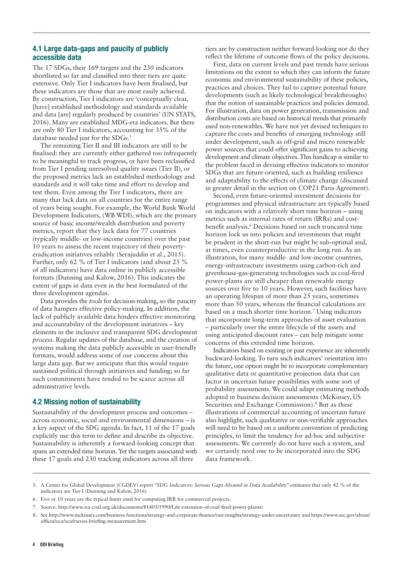#### 4.1 Large data-gaps and paucity of publicly accessible data

The 17 SDGs, their 169 targets and the 230 indicators shortlisted so far and classified into three tiers are quite extensive. Only Tier I indicators have been finalised, but these indicators are those that are most easily achieved. By construction, Tier I indicators are 'conceptually clear, [have] established methodology and standards available and data [are] regularly produced by countries' (UN STATS, 2016). Many are established MDG-era indicators. But there are only 80 Tier I indicators, accounting for 35% of the database needed just for the SDGs.<sup>5</sup>

The remaining Tier II and III indicators are still to be finalised: they are currently either gathered too infrequently to be meaningful to track progress, or have been reclassified from Tier I pending unresolved quality issues (Tier II), or the proposed metrics lack an established methodology and standards and it will take time and effort to develop and test them. Even among the Tier I indicators, there are many that lack data on all countries for the entire range of years being sought. For example, the World Bank World Development Indicators, (WB WDI), which are the primary source of basic income/wealth distribution and poverty metrics, report that they lack data for 77 countries (typically middle- or low-income countries) over the past 10 years to assess the recent trajectory of their povertyeradication initiatives reliably (Serajuddin et al., 2015). Further, only 62 % of Tier I indicators (and about 25 % of all indicators) have data online in publicly accessible formats (Dunning and Kalow, 2016). This indicates the extent of gaps in data even in the best formulated of the three development agendas.

Data provides the *tools* for decision-making, so the paucity of data hampers effective policy-making. In addition, the lack of publicly available data hinders effective monitoring and accountability of the development initiatives – key elements in the inclusive and transparent SDG development *process*. Regular updates of the database, and the creation of systems making the data publicly accessible in user-friendly formats, would address some of our concerns about this large data gap. But we anticipate that this would require sustained political through initiatives and funding; so far such commitments have tended to be scarce across all administrative levels.

#### 4.2 Missing notion of sustainability

Sustainability of the development process and outcomes – across economic, social and environmental dimensions – is a key aspect of the SDG agenda. In fact, 11 of the 17 goals explicitly use this term to define and describe its objective. Sustainability is inherently a forward-looking concept that spans an extended time horizon. Yet the targets associated with these 17 goals and 230 tracking indicators across all three

tiers are by construction neither forward-looking nor do they reflect the lifetime of outcome flows of the policy decisions.

First, data on current levels and past trends have serious limitations on the extent to which they can inform the future economic and environmental sustainability of these policies, practices and choices. They fail to capture potential future developments (such as likely technological breakthroughs) that the notion of sustainable practices and policies demand. For illustration, data on power generation, transmission and distribution costs are based on historical trends that primarily used non-renewables. We have not yet devised techniques to capture the costs and benefits of emerging technology still under development, such as off-grid and micro renewable power sources that could offer significant gains to achieving development and climate objectives. This handicap is similar to the problem faced in devising effective indicators to monitor SDGs that are future-oriented, such as building resilience and adaptability to the effects of climate change (discussed in greater detail in the section on COP21 Paris Agreement).

Second, even future-oriented investment decisions for programmes and physical infrastructure are typically based on indicators with a relatively short time horizon – using metrics such as internal rates of return (IRRs) and costbenefit analysis.6 Decisions based on such truncated time horizon lock us into policies and investments that might be prudent in the short-run but might be sub-optimal and, at times, even counterproductive in the long run. As an illustration, for many middle- and low-income countries, energy-infrastructure investments using carbon-rich and greenhouse-gas-generating technologies such as coal-fired power-plants are still cheaper than renewable energy sources over five to 10 years. However, such facilities have an operating lifespan of more than 25 years, sometimes more than 50 years, whereas the financial calculations are based on a much shorter time horizon.7 Using indicators that incorporate long-term approaches of asset evaluation – particularly over the entire lifecycle of the assets and using anticipated discount rates – can help mitigate some concerns of this extended time horizon.

Indicators based on existing or past experience are inherently backward-looking. To turn such indicators' orientation into the future, one option might be to incorporate complementary qualitative data or quantitative projection data that can factor in uncertain future possibilities with some sort of probability assessments. We could adapt estimating methods adopted in business decision assessments (McKinsey, US Securities and Exchange Commission).<sup>8</sup> But as these illustrations of commercial accounting of uncertain future also highlight, such qualitative or non-verifiable approaches will need to be based on a uniform convention of predicting principles, to limit the tendency for ad-hoc and subjective assessments. We currently do not have such a system, and we certainly need one to be incorporated into the SDG data framework.

- 6. Five or 10 years are the typical limits used for computing IRR for commercial projects.
- 7. Source: <http://www.iea-coal.org.uk/documents/81405/5990/Life-extension-of-coal-fired-power-plants>)

<sup>5.</sup> A Center for Global Development (CGDEV) report "*SDG Indicators: Serious Gaps Abound in Data Availability*" estimates that only 42 % of the indicators are Tier I (Dunning and Kalow, 2016)

<sup>8.</sup> See<http://www.mckinsey.com/business-functions/strategy-and-corporate-finance/our-insights/strategy-under-uncertainty> and [https://www.sec.gov/about/](https://www.sec.gov/about/offices/oca/ocafrseries-briefing-measurement.htm) [offices/oca/ocafrseries-briefing-measurement.htm](https://www.sec.gov/about/offices/oca/ocafrseries-briefing-measurement.htm)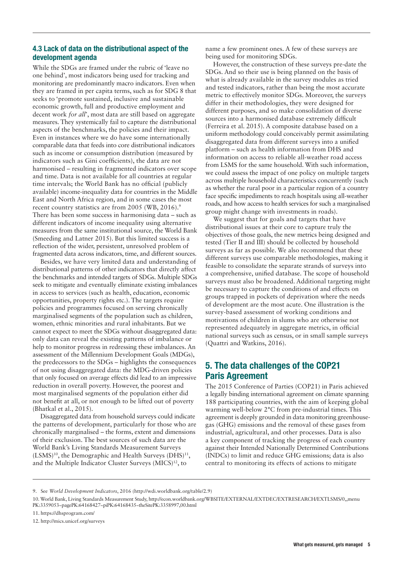### 4.3 Lack of data on the distributional aspect of the development agenda

While the SDGs are framed under the rubric of 'leave no one behind', most indicators being used for tracking and monitoring are predominantly macro indicators. Even when they are framed in per capita terms, such as for SDG 8 that seeks to 'promote sustained, inclusive and sustainable economic growth, full and productive employment and decent work *for all*', most data are still based on aggregate measures. They systemically fail to capture the distributional aspects of the benchmarks, the policies and their impact. Even in instances where we do have some internationally comparable data that feeds into core distributional indicators such as income or consumption distribution (measured by indicators such as Gini coefficients), the data are not harmonised – resulting in fragmented indicators over scope and time. Data is not available for all countries at regular time intervals; the World Bank has no official (publicly available) income-inequality data for countries in the Middle East and North Africa region, and in some cases the most recent country statistics are from 2005 (WB, 2016).<sup>9</sup> There has been some success in harmonising data – such as different indicators of income inequality using alternative measures from the same institutional source, the World Bank (Smeeding and Latner 2015). But this limited success is a reflection of the wider, persistent, unresolved problem of fragmented data across indicators, time, and different sources.

Besides, we have very limited data and understanding of distributional patterns of other indicators that directly affect the benchmarks and intended targets of SDGs. Multiple SDGs seek to mitigate and eventually eliminate existing imbalances in access to services (such as health, education, economic opportunities, property rights etc.). The targets require policies and programmes focused on serving chronically marginalised segments of the population such as children, women, ethnic minorities and rural inhabitants. But we cannot expect to meet the SDGs without disaggregated data: only data can reveal the existing patterns of imbalance or help to monitor progress in redressing these imbalances. An assessment of the Millennium Development Goals (MDGs), the predecessors to the SDGs – highlights the consequences of not using disaggregated data: the MDG-driven policies that only focused on average effects did lead to an impressive reduction in overall poverty. However, the poorest and most marginalised segments of the population either did not benefit at all, or not enough to be lifted out of poverty (Bhatkal et al., 2015).

Disaggregated data from household surveys could indicate the patterns of development, particularly for those who are chronically marginalised – the forms, extent and dimensions of their exclusion. The best sources of such data are the World Bank's Living Standards Measurement Surveys  $(LSMS)^{10}$ , the Demographic and Health Surveys (DHS)<sup>11</sup>, and the Multiple Indicator Cluster Surveys (MICS)<sup>12</sup>, to

name a few prominent ones. A few of these surveys are being used for monitoring SDGs.

However, the construction of these surveys pre-date the SDGs. And so their use is being planned on the basis of what is already available in the survey modules as tried and tested indicators, rather than being the most accurate metric to effectively monitor SDGs. Moreover, the surveys differ in their methodologies, they were designed for different purposes, and so make consolidation of diverse sources into a harmonised database extremely difficult (Ferreira et al. 2015). A composite database based on a uniform methodology could conceivably permit assimilating disaggregated data from different surveys into a unified platform – such as health information from DHS and information on access to reliable all-weather road access from LSMS for the same household. With such information, we could assess the impact of one policy on multiple targets across multiple household characteristics concurrently (such as whether the rural poor in a particular region of a country face specific impediments to reach hospitals using all-weather roads, and how access to health services for such a marginalised group might change with investments in roads).

We suggest that for goals and targets that have distributional issues at their core to capture truly the objectives of those goals, the new metrics being designed and tested (Tier II and III) should be collected by household surveys as far as possible. We also recommend that these different surveys use comparable methodologies, making it feasible to consolidate the separate strands of surveys into a comprehensive, unified database. The scope of household surveys must also be broadened. Additional targeting might be necessary to capture the conditions of and effects on groups trapped in pockets of deprivation where the needs of development are the most acute. One illustration is the survey-based assessment of working conditions and motivations of children in slums who are otherwise not represented adequately in aggregate metrics, in official national surveys such as census, or in small sample surveys (Quattri and Watkins, 2016).

# 5. The data challenges of the COP21 Paris Agreement

The 2015 Conference of Parties (COP21) in Paris achieved a legally binding international agreement on climate spanning 188 participating countries, with the aim of keeping global warming well-below 2°C from pre-industrial times. This agreement is deeply grounded in data monitoring greenhousegas (GHG) emissions and the removal of these gases from industrial, agricultural, and other processes. Data is also a key component of tracking the progress of each country against their Intended Nationally Determined Contributions (INDCs) to limit and reduce GHG emissions; data is also central to monitoring its effects of actions to mitigate

<sup>9.</sup> See *World Development Indicators*, 2016 [\(http://wdi.worldbank.org/table/2.9\)](http://wdi.worldbank.org/table/2.9)

<sup>10.</sup> World Bank, Living Standards Measurement Study, [http://econ.worldbank.org/WBSITE/EXTERNAL/EXTDEC/EXTRESEARCH/EXTLSMS/0,,menu](http://econ.worldbank.org/WBSITE/EXTERNAL/EXTDEC/EXTRESEARCH/EXTLSMS/0,,menuPK:3359053~pagePK:64168427~ piPK:64168435~theSitePK:3358997,00.html) [PK:3359053~pagePK:64168427~piPK:64168435~theSitePK:3358997,00.html](http://econ.worldbank.org/WBSITE/EXTERNAL/EXTDEC/EXTRESEARCH/EXTLSMS/0,,menuPK:3359053~pagePK:64168427~ piPK:64168435~theSitePK:3358997,00.html)

<sup>11.</sup> <https://dhsprogram.com/>

<sup>12.</sup> <http://mics.unicef.org/surveys>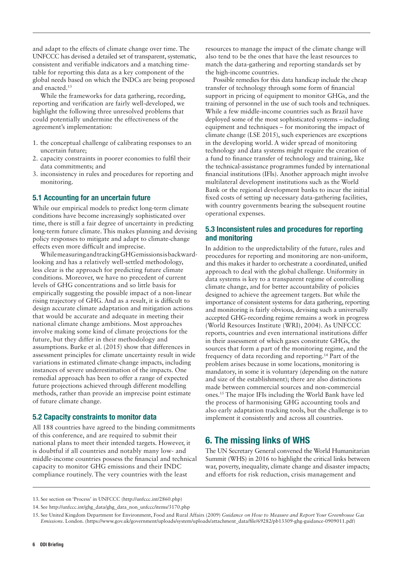and adapt to the effects of climate change over time. The UNFCCC has devised a detailed set of transparent, systematic, consistent and verifiable indicators and a matching timetable for reporting this data as a key component of the global needs based on which the INDCs are being proposed and enacted.13

While the frameworks for data gathering, recording, reporting and verification are fairly well-developed, we highlight the following three unresolved problems that could potentially undermine the effectiveness of the agreement's implementation:

- 1. the conceptual challenge of calibrating responses to an uncertain future;
- 2. capacity constraints in poorer economies to fulfil their data commitments; and
- 3. inconsistency in rules and procedures for reporting and monitoring.

#### 5.1 Accounting for an uncertain future

While our empirical models to predict long-term climate conditions have become increasingly sophisticated over time, there is still a fair degree of uncertainty in predicting long-term future climate. This makes planning and devising policy responses to mitigate and adapt to climate-change effects even more difficult and imprecise.

While measuring and tracking GHG emissions is backwardlooking and has a relatively well-settled methodology, less clear is the approach for predicting future climate conditions. Moreover, we have no precedent of current levels of GHG concentrations and so little basis for empirically suggesting the possible impact of a non-linear rising trajectory of GHG. And as a result, it is difficult to design accurate climate adaptation and mitigation actions that would be accurate and adequate in meeting their national climate change ambitions. Most approaches involve making some kind of climate projections for the future, but they differ in their methodology and assumptions. Burke et al. (2015) show that differences in assessment principles for climate uncertainty result in wide variations in estimated climate-change impacts, including instances of severe underestimation of the impacts. One remedial approach has been to offer a range of expected future projections achieved through different modelling methods, rather than provide an imprecise point estimate of future climate change.

#### 5.2 Capacity constraints to monitor data

All 188 countries have agreed to the binding commitments of this conference, and are required to submit their national plans to meet their intended targets. However, it is doubtful if all countries and notably many low- and middle-income countries possess the financial and technical capacity to monitor GHG emissions and their INDC compliance routinely. The very countries with the least

resources to manage the impact of the climate change will also tend to be the ones that have the least resources to match the data-gathering and reporting standards set by the high-income countries.

Possible remedies for this data handicap include the cheap transfer of technology through some form of financial support in pricing of equipment to monitor GHGs, and the training of personnel in the use of such tools and techniques. While a few middle-income countries such as Brazil have deployed some of the most sophisticated systems – including equipment and techniques – for monitoring the impact of climate change (LSE 2015), such experiences are exceptions in the developing world. A wider spread of monitoring technology and data systems might require the creation of a fund to finance transfer of technology and training, like the technical-assistance programmes funded by international financial institutions (IFIs). Another approach might involve multilateral development institutions such as the World Bank or the regional development banks to incur the initial fixed costs of setting up necessary data-gathering facilities, with country governments bearing the subsequent routine operational expenses.

### 5.3 Inconsistent rules and procedures for reporting and monitoring

In addition to the unpredictability of the future, rules and procedures for reporting and monitoring are non-uniform, and this makes it harder to orchestrate a coordinated, unified approach to deal with the global challenge. Uniformity in data systems is key to a transparent regime of controlling climate change, and for better accountability of policies designed to achieve the agreement targets. But while the importance of consistent systems for data gathering, reporting and monitoring is fairly obvious, devising such a universally accepted GHG-recording regime remains a work in progress (World Resources Institute (WRI), 2004). As UNFCCC reports, countries and even international institutions differ in their assessment of which gases constitute GHGs, the sources that form a part of the monitoring regime, and the frequency of data recording and reporting.14 Part of the problem arises because in some locations, monitoring is mandatory, in some it is voluntary (depending on the nature and size of the establishment); there are also distinctions made between commercial sources and non-commercial ones.<sup>15</sup> The major IFIs including the World Bank have led the process of harmonising GHG accounting tools and also early adaptation tracking tools, but the challenge is to implement it consistently and across all countries.

# 6. The missing links of WHS

The UN Secretary General convened the World Humanitarian Summit (WHS) in 2016 to highlight the critical links between war, poverty, inequality, climate change and disaster impacts; and efforts for risk reduction, crisis management and

<sup>13.</sup> See section on 'Process' in UNFCCC [\(http://unfccc.int/2860.php\)](http://unfccc.int/2860.php)

<sup>14.</sup> See [http://unfccc.int/ghg\\_data/ghg\\_data\\_non\\_unfccc/items/3170.php](http://unfccc.int/ghg_data/ghg_data_non_unfccc/items/3170.php)

<sup>15.</sup> See United Kingdom Department for Environment, Food and Rural Affairs (2009) *Guidance on How to Measure and Report Your Greenhouse Gas Emissions*. London. [\(https://www.gov.uk/government/uploads/system/uploads/attachment\\_data/file/69282/pb13309-ghg-guidance-0909011.pdf](https://www.gov.uk/government/uploads/system/uploads/attachment_data/file/69282/pb13309-ghg-guidance-0909011.pdf))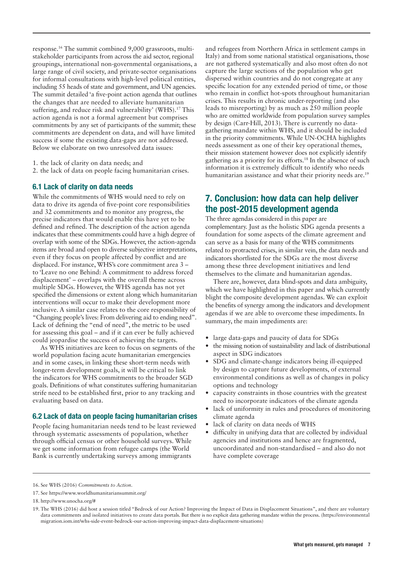response.16 The summit combined 9,000 grassroots, multistakeholder participants from across the aid sector, regional groupings, international non-governmental organisations, a large range of civil society, and private-sector organisations for informal consultations with high-level political entities, including 55 heads of state and government, and UN agencies. The summit detailed 'a five-point action agenda that outlines the changes that are needed to alleviate humanitarian suffering, and reduce risk and vulnerability' (WHS).<sup>17</sup> This action agenda is not a formal agreement but comprises commitments by any set of participants of the summit; these commitments are dependent on data, and will have limited success if some the existing data-gaps are not addressed. Below we elaborate on two unresolved data issues:

1. the lack of clarity on data needs; and

2. the lack of data on people facing humanitarian crises.

#### 6.1 Lack of clarity on data needs

While the commitments of WHS would need to rely on data to drive its agenda of five-point core responsibilities and 32 commitments and to monitor any progress, the precise indicators that would enable this have yet to be defined and refined. The description of the action agenda indicates that these commitments could have a high degree of overlap with some of the SDGs. However, the action-agenda items are broad and open to diverse subjective interpretations, even if they focus on people affected by conflict and are displaced. For instance, WHS's core commitment area 3 – to 'Leave no one Behind: A commitment to address forced displacement' – overlaps with the overall theme across multiple SDGs. However, the WHS agenda has not yet specified the dimensions or extent along which humanitarian interventions will occur to make their development more inclusive. A similar case relates to the core responsibility of "Changing people's lives: From delivering aid to ending need". Lack of defining the "end of need", the metric to be used for assessing this goal – and if it can ever be fully achieved could jeopardise the success of achieving the targets.

As WHS initiatives are keen to focus on segments of the world population facing acute humanitarian emergencies and in some cases, in linking these short-term needs with longer-term development goals, it will be critical to link the indicators for WHS commitments to the broader SGD goals. Definitions of what constitutes suffering humanitarian strife need to be established first, prior to any tracking and evaluating based on data.

#### 6.2 Lack of data on people facing humanitarian crises

People facing humanitarian needs tend to be least reviewed through systematic assessments of population, whether through official census or other household surveys. While we get some information from refugee camps (the World Bank is currently undertaking surveys among immigrants

and refugees from Northern Africa in settlement camps in Italy) and from some national statistical organisations, those are not gathered systematically and also most often do not capture the large sections of the population who get dispersed within countries and do not congregate at any specific location for any extended period of time, or those who remain in conflict hot-spots throughout humanitarian crises. This results in chronic under-reporting (and also leads to misreporting) by as much as 250 million people who are omitted worldwide from population survey samples by design (Carr-Hill, 2013). There is currently no datagathering mandate within WHS, and it should be included in the priority commitments. While UN-OCHA highlights needs assessment as one of their key operational themes, their mission statement however does not explicitly identify gathering as a priority for its efforts.18 In the absence of such information it is extremely difficult to identify who needs humanitarian assistance and what their priority needs are.<sup>19</sup>

# 7. Conclusion: how data can help deliver the post-2015 development agenda

The three agendas considered in this paper are complementary. Just as the holistic SDG agenda presents a foundation for some aspects of the climate agreement and can serve as a basis for many of the WHS commitments related to protracted crises, in similar vein, the data needs and indicators shortlisted for the SDGs are the most diverse among these three development initiatives and lend themselves to the climate and humanitarian agendas.

There are, however, data blind-spots and data ambiguity, which we have highlighted in this paper and which currently blight the composite development agendas. We can exploit the benefits of synergy among the indicators and development agendas if we are able to overcome these impediments. In summary, the main impediments are:

- **•** large data-gaps and paucity of data for SDGs
- **•** the missing notion of sustainability and lack of distributional aspect in SDG indicators
- **•** SDG and climate-change indicators being ill-equipped by design to capture future developments, of external environmental conditions as well as of changes in policy options and technology
- **•** capacity constraints in those countries with the greatest need to incorporate indicators of the climate agenda
- **•** lack of uniformity in rules and procedures of monitoring climate agenda
- **•** lack of clarity on data needs of WHS
- **•** difficulty in unifying data that are collected by individual agencies and institutions and hence are fragmented, uncoordinated and non-standardised – and also do not have complete coverage

<sup>16.</sup> See WHS (2016) *Commitments to Action*.

<sup>17.</sup> See <https://www.worldhumanitariansummit.org/>

<sup>18.</sup> http://www.unocha.org/#

<sup>19.</sup> The WHS (2016) did host a session titled "Bedrock of our Action? Improving the Impact of Data in Displacement Situations", and there are voluntary data commitments and isolated initiatives to create data portals. But there is no explicit data gathering mandate within the process. [\(https://environmental](https://environmentalmigration.iom.int/whs-side-event-bedrock-our-action-improving-impact-data-displacement-situations) [migration.iom.int/whs-side-event-bedrock-our-action-improving-impact-data-displacement-situations\)](https://environmentalmigration.iom.int/whs-side-event-bedrock-our-action-improving-impact-data-displacement-situations)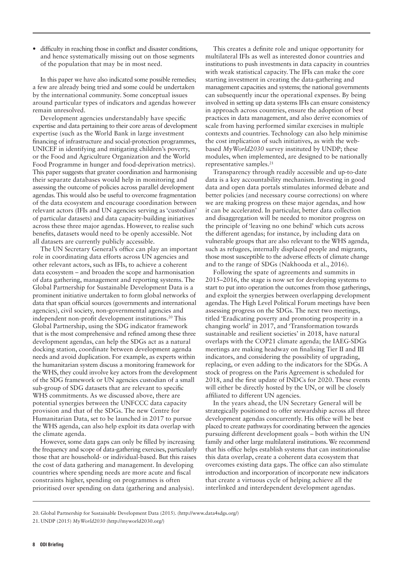**•** difficulty in reaching those in conflict and disaster conditions, and hence systematically missing out on those segments of the population that may be in most need.

In this paper we have also indicated some possible remedies; a few are already being tried and some could be undertaken by the international community. Some conceptual issues around particular types of indicators and agendas however remain unresolved.

Development agencies understandably have specific expertise and data pertaining to their core areas of development expertise (such as the World Bank in large investment financing of infrastructure and social-protection programmes, UNICEF in identifying and mitigating children's poverty, or the Food and Agriculture Organization and the World Food Programme in hunger and food-deprivation metrics). This paper suggests that greater coordination and harmonising their separate databases would help in monitoring and assessing the outcome of policies across parallel development agendas. This would also be useful to overcome fragmentation of the data ecosystem and encourage coordination between relevant actors (IFIs and UN agencies serving as 'custodian' of particular datasets) and data capacity-building initiatives across these three major agendas. However, to realise such benefits, datasets would need to be openly accessible. Not all datasets are currently publicly accessible.

The UN Secretary General's office can play an important role in coordinating data efforts across UN agencies and other relevant actors, such as IFIs, to achieve a coherent data ecosystem – and broaden the scope and harmonisation of data gathering, management and reporting systems. The Global Partnership for Sustainable Development Data is a prominent initiative undertaken to form global networks of data that span official sources (governments and international agencies), civil society, non-governmental agencies and independent non-profit development institutions.<sup>20</sup> This Global Partnership, using the SDG indicator framework that is the most comprehensive and refined among these three development agendas, can help the SDGs act as a natural docking station, coordinate between development agenda needs and avoid duplication. For example, as experts within the humanitarian system discuss a monitoring framework for the WHS, they could involve key actors from the development of the SDG framework or UN agencies custodian of a small sub-group of SDG datasets that are relevant to specific WHS commitments. As we discussed above, there are potential synergies between the UNFCCC data capacity provision and that of the SDGs. The new Centre for Humanitarian Data, set to be launched in 2017 to pursue the WHS agenda, can also help exploit its data overlap with the climate agenda.

However, some data gaps can only be filled by increasing the frequency and scope of data-gathering exercises, particularly those that are household- or individual-based. But this raises the cost of data gathering and management. In developing countries where spending needs are more acute and fiscal constraints higher, spending on programmes is often prioritised over spending on data (gathering and analysis).

This creates a definite role and unique opportunity for multilateral IFIs as well as interested donor countries and institutions to push investments in data capacity in countries with weak statistical capacity. The IFIs can make the core starting investment in creating the data-gathering and management capacities and systems; the national governments can subsequently incur the operational expenses. By being involved in setting up data systems IFIs can ensure consistency in approach across countries, ensure the adoption of best practices in data management, and also derive economies of scale from having performed similar exercises in multiple contexts and countries. Technology can also help minimise the cost implication of such initiatives, as with the webbased *MyWorld2030* survey instituted by UNDP; these modules, when implemented, are designed to be nationally representative samples.21

Transparency through readily accessible and up-to-date data is a key accountability mechanism. Investing in good data and open data portals stimulates informed debate and better policies (and necessary course corrections) on where we are making progress on these major agendas, and how it can be accelerated. In particular, better data collection and disaggregation will be needed to monitor progress on the principle of 'leaving no one behind' which cuts across the different agendas; for instance, by including data on vulnerable groups that are also relevant to the WHS agenda, such as refugees, internally displaced people and migrants, those most susceptible to the adverse effects of climate change and to the range of SDGs (Nakhooda et al., 2016).

Following the spate of agreements and summits in 2015–2016, the stage is now set for developing systems to start to put into operation the outcomes from those gatherings, and exploit the synergies between overlapping development agendas. The High Level Political Forum meetings have been assessing progress on the SDGs. The next two meetings, titled 'Eradicating poverty and promoting prosperity in a changing world' in 2017, and 'Transformation towards sustainable and resilient societies' in 2018, have natural overlaps with the COP21 climate agenda; the IAEG-SDGs meetings are making headway on finalising Tier II and III indicators, and considering the possibility of upgrading, replacing, or even adding to the indicators for the SDGs. A stock of progress on the Paris Agreement is scheduled for 2018, and the first update of INDCs for 2020. These events will either be directly hosted by the UN, or will be closely affiliated to different UN agencies.

In the years ahead, the UN Secretary General will be strategically positioned to offer stewardship across all three development agendas concurrently. His office will be best placed to create pathways for coordinating between the agencies pursuing different development goals – both within the UN family and other large multilateral institutions. We recommend that his office helps establish systems that can institutionalise this data overlap, create a coherent data ecosystem that overcomes existing data gaps. The office can also stimulate introduction and incorporation of incorporate new indicators that create a virtuous cycle of helping achieve all the interlinked and interdependent development agendas.

<sup>20.</sup> Global Partnership for Sustainable Development Data (2015). (<http://www.data4sdgs.org/>)

<sup>21.</sup> UNDP (2015) *MyWorld2030* [\(http://myworld2030.org/](http://myworld2030.org/))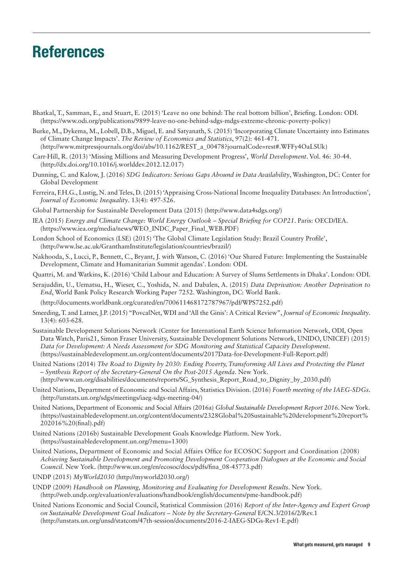# **References**

- Bhatkal, T., Samman, E., and Stuart, E. (2015) 'Leave no one behind: The real bottom billion', Briefing. London: ODI. (<https://www.odi.org/publications/9899-leave-no-one-behind-sdgs-mdgs-extreme-chronic-poverty-policy>)
- Burke, M., Dykema, M., Lobell, D.B., Miguel, E. and Satyanath, S. (2015) 'Incorporating Climate Uncertainty into Estimates of Climate Change Impacts'. *The Review of Economics and Statistics*, 97(2): 461-471. (http://www.mitpressjournals.org/doi/abs/10.1162/REST\_a\_00478?journalCode=rest#.WFFy4OaLSUk)
- Carr-Hill, R. (2013) 'Missing Millions and Measuring Development Progress', *World Development*. Vol. 46: 30-44. (<http://dx.doi.org/10.1016/j.worlddev.2012.12.017>)
- Dunning, C. and Kalow, J. (2016) *SDG Indicators: Serious Gaps Abound in Data Availability*, Washington, DC: Center for Global Development
- Ferreira, F.H.G., Lustig, N. and Teles, D. (2015) 'Appraising Cross-National Income Inequality Databases: An Introduction', *Journal of Economic Inequality*. 13(4): 497-526.
- Global Partnership for Sustainable Development Data (2015) [\(http://www.data4sdgs.org/\)](http://www.data4sdgs.org/)
- IEA (2015) *Energy and Climate Change: World Energy Outlook Special Briefing for COP21*. Paris: OECD/IEA. ([https://www.iea.org/media/news/WEO\\_INDC\\_Paper\\_Final\\_WEB.PDF\)](https://www.iea.org/media/news/WEO_INDC_Paper_Final_WEB.PDF)
- London School of Economics (LSE) (2015) 'The Global Climate Legislation Study: Brazil Country Profile', ([http://www.lse.ac.uk/GranthamInstitute/legislation/countries/brazil/\)](http://www.lse.ac.uk/GranthamInstitute/legislation/countries/brazil/)
- Nakhooda, S., Lucci, P., Bennett, C., Bryant, J. with Watson, C. (2016) 'Our Shared Future: Implementing the Sustainable Development, Climate and Humanitarian Summit agendas'. London: ODI.
- Quattri, M. and Watkins, K. (2016) 'Child Labour and Education: A Survey of Slums Settlements in Dhaka'. London: ODI.
- Serajuddin, U., Uematsu, H., Wieser, C., Yoshida, N. and Dabalen, A. (2015) *Data Deprivation: Another Deprivation to End*, World Bank Policy Research Working Paper 7252. Washington, DC: World Bank.

(<http://documents.worldbank.org/curated/en/700611468172787967/pdf/WPS7252.pdf>)

- Smeeding, T. and Latner, J.P. (2015) "PovcalNet, WDI and 'All the Ginis': A Critical Review", *Journal of Economic Inequality*. 13(4): 603-628.
- Sustainable Development Solutions Network (Center for International Earth Science Information Network, ODI, Open Data Watch, Paris21, Simon Fraser University, Sustainable Development Solutions Network, UNIDO, UNICEF) (2015) *Data for Development: A Needs Assessment for SDG Monitoring and Statistical Capacity Development*. ([https://sustainabledevelopment.un.org/content/documents/2017Data-for-Development-Full-Report.pdf\)](https://sustainabledevelopment.un.org/content/documents/2017Data-for-Development-Full-Report.pdf)
- United Nations (2014) *The Road to Dignity by 2030: Ending Poverty, Transforming All Lives and Protecting the Planet – Synthesis Report of the Secretary-General On the Post-2015 Agenda*. New York. ([http://www.un.org/disabilities/documents/reports/SG\\_Synthesis\\_Report\\_Road\\_to\\_Dignity\\_by\\_2030.pdf\)](http://www.un.org/disabilities/documents/reports/SG_Synthesis_Report_Road_to_Dignity_by_2030.pdf)
- United Nations, Department of Economic and Social Affairs, Statistics Division. (2016) *Fourth meeting of the IAEG-SDGs*. (<http://unstats.un.org/sdgs/meetings/iaeg-sdgs-meeting-04/>)
- United Nations, Department of Economic and Social Affairs (2016a) *Global Sustainable Development Report 2016*. New York. ([https://sustainabledevelopment.un.org/content/documents/2328Global%20Sustainable%20development%20report%](https://sustainabledevelopment.un.org/content/documents/2328Global%20Sustainable%20development%20report%202016%20(final).pdf)  [202016%20\(final\).pdf](https://sustainabledevelopment.un.org/content/documents/2328Global%20Sustainable%20development%20report%202016%20(final).pdf))
- United Nations (2016b) Sustainable Development Goals Knowledge Platform. New York. ([https://sustainabledevelopment.un.org/?menu=1300\)](https://sustainabledevelopment.un.org/?menu=1300)
- United Nations, Department of Economic and Social Affairs Office for ECOSOC Support and Coordination (2008) *Achieving Sustainable Development and Promoting Development Cooperation Dialogues at the Economic and Social Council*. New York. [\(http://www.un.org/en/ecosoc/docs/pdfs/fina\\_08-45773.pdf\)](http://www.un.org/en/ecosoc/docs/pdfs/fina_08-45773.pdf)
- UNDP (2015) *MyWorld2030* ([http://myworld2030.org/\)](http://myworld2030.org/)
- UNDP (2009) *Handbook on Planning, Monitoring and Evaluating for Development Results*. New York. ([http://web.undp.org/evaluation/evaluations/handbook/english/documents/pme-handbook.pdf\)](http://web.undp.org/evaluation/evaluations/handbook/english/documents/pme-handbook.pdf)
- United Nations Economic and Social Council, Statistical Commission (2016) *Report of the Inter-Agency and Expert Group on Sustainable Development Goal Indicators – Note by the Secretary-General* E/CN.3/2016/2/Rev.1 (<http://unstats.un.org/unsd/statcom/47th-session/documents/2016-2-IAEG-SDGs-Rev1-E.pdf>)